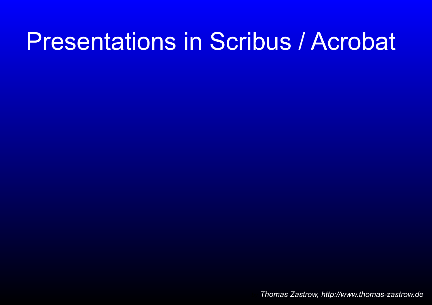## **Presentations in Scribus / Acrobat**

Thomas Zastrow, http://www.thomas-zastrow.de